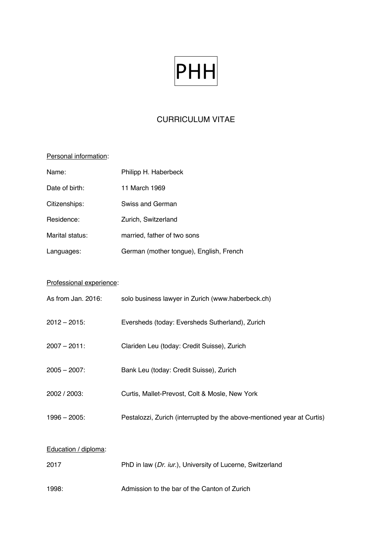

## CURRICULUM VITAE

## Personal information:

| Name:           | Philipp H. Haberbeck                    |
|-----------------|-----------------------------------------|
| Date of birth:  | 11 March 1969                           |
| Citizenships:   | Swiss and German                        |
| Residence:      | Zurich, Switzerland                     |
| Marital status: | married, father of two sons             |
| Languages:      | German (mother tongue), English, French |

## Professional experience:

| As from Jan. 2016:   | solo business lawyer in Zurich (www.haberbeck.ch)                      |
|----------------------|------------------------------------------------------------------------|
| $2012 - 2015$        | Eversheds (today: Eversheds Sutherland), Zurich                        |
| $2007 - 2011$ :      | Clariden Leu (today: Credit Suisse), Zurich                            |
| $2005 - 2007$ :      | Bank Leu (today: Credit Suisse), Zurich                                |
| 2002 / 2003:         | Curtis, Mallet-Prevost, Colt & Mosle, New York                         |
| $1996 - 2005$ :      | Pestalozzi, Zurich (interrupted by the above-mentioned year at Curtis) |
| Education / diploma: |                                                                        |
| 2017                 | PhD in law (Dr. iur.), University of Lucerne, Switzerland              |
|                      |                                                                        |

1998: Admission to the bar of the Canton of Zurich